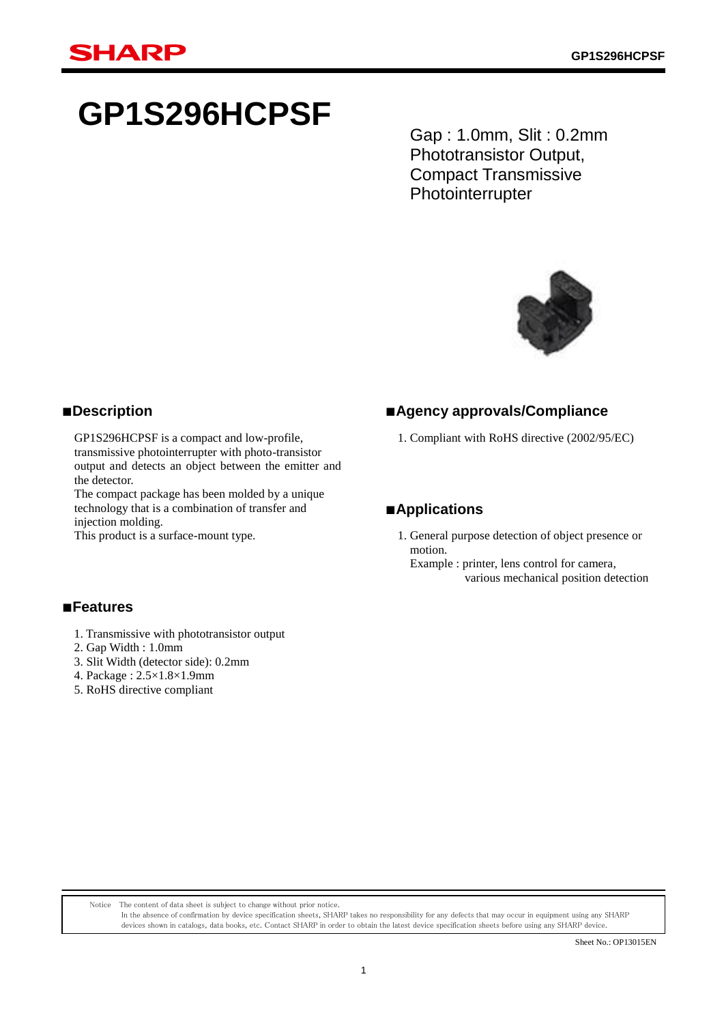# **GP1S296HCPSF**

Gap : 1.0mm, Slit : 0.2mm Phototransistor Output, Compact Transmissive **Photointerrupter** 



## ■**Description**

GP1S296HCPSF is a compact and low-profile, transmissive photointerrupter with photo-transistor output and detects an object between the emitter and the detector.

The compact package has been molded by a unique technology that is a combination of transfer and injection molding.

This product is a surface-mount type.

### ■**Agency approvals/Compliance**

1. Compliant with RoHS directive (2002/95/EC)

## ■**Applications**

- 1. General purpose detection of object presence or motion.
	- Example : printer, lens control for camera, various mechanical position detection

### ■**Features**

- 1. Transmissive with phototransistor output
- 2. Gap Width : 1.0mm
- 3. Slit Width (detector side): 0.2mm
- 4. Package : 2.5×1.8×1.9mm
- 5. RoHS directive compliant

Notice The content of data sheet is subject to change without prior notice.

In the absence of confirmation by device specification sheets, SHARP takes no responsibility for any defects that may occur in equipment using any SHARP devices shown in catalogs, data books, etc. Contact SHARP in order to obtain the latest device specification sheets before using any SHARP device.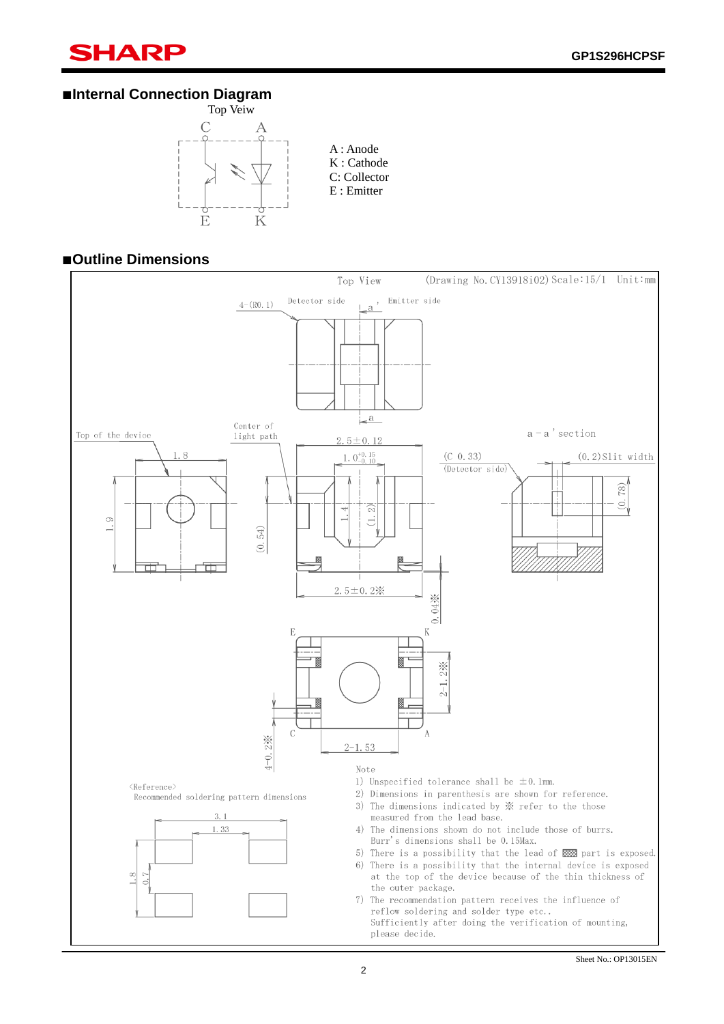## **SHARP**

ī

## ■**Internal Connection Diagram**



### ■**Outline Dimensions**

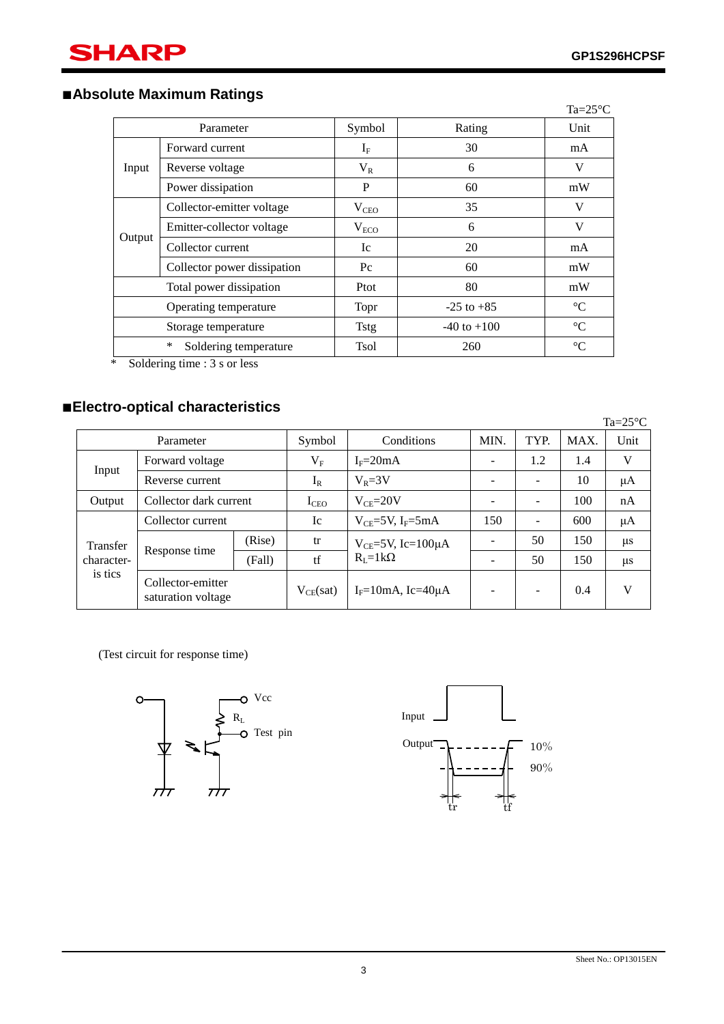ī

## ■**Absolute Maximum Ratings**

|                         |                             |               |                 | Ta= $25^{\circ}$ C |
|-------------------------|-----------------------------|---------------|-----------------|--------------------|
|                         | Parameter                   | Symbol        | Rating          | Unit               |
|                         | Forward current             | $\rm I_F$     | 30              | mA                 |
| Input                   | Reverse voltage             | $V_{R}$       | 6               | V                  |
| Power dissipation       | P                           | 60            | mW              |                    |
|                         | Collector-emitter voltage   | $V_{\rm CEO}$ | 35              | V                  |
|                         | Emitter-collector voltage   | $V_{ECO}$     | 6               | V                  |
| Output                  | Collector current           | Ic            | 20              | mA                 |
|                         | Collector power dissipation | $P_{\rm C}$   | 60              | mW                 |
| Total power dissipation |                             | Ptot          | 80              | mW                 |
| Operating temperature   |                             | Topr          | $-25$ to $+85$  | $\rm ^{\circ}C$    |
| Storage temperature     |                             | <b>Tstg</b>   | $-40$ to $+100$ | $^{\circ}C$        |
|                         | *<br>Soldering temperature  | <b>Tsol</b>   | 260             | $\rm ^{\circ}C$    |

\* Soldering time : 3 s or less

## ■**Electro-optical characteristics**

|                 |                                         |        |               |                                                  |      |      |      | $Ta = 25^{\circ}C$ |
|-----------------|-----------------------------------------|--------|---------------|--------------------------------------------------|------|------|------|--------------------|
| Parameter       |                                         |        | Symbol        | Conditions                                       | MIN. | TYP. | MAX. | Unit               |
| Forward voltage |                                         |        |               | $IF=20mA$                                        |      | 1.2  | 1.4  | V                  |
| Input           | Reverse current                         |        | $I_R$         | $V_R = 3V$                                       |      |      | 10   | $\mu A$            |
| Output          | Collector dark current                  |        | $I_{\rm CEO}$ | $V_{CF} = 20V$                                   | ÷    |      | 100  | nA                 |
|                 | Collector current                       |        | Ic            | $V_{CE}$ =5V, I <sub>F</sub> =5mA                | 150  |      | 600  | $\mu A$            |
| Transfer        | Response time                           | (Rise) | tr            | $V_{CE}$ =5V, Ic=100 $\mu$ A<br>$R_I = 1k\Omega$ |      | 50   | 150  | $\mu$ s            |
| character-      |                                         | (Fall) | tf            |                                                  |      | 50   | 150  | $\mu$ s            |
| is tics         | Collector-emitter<br>saturation voltage |        | $V_{CE}(sat)$ | $I_F=10$ mA, Ic=40 $\mu$ A                       |      |      | 0.4  | V                  |

(Test circuit for response time)



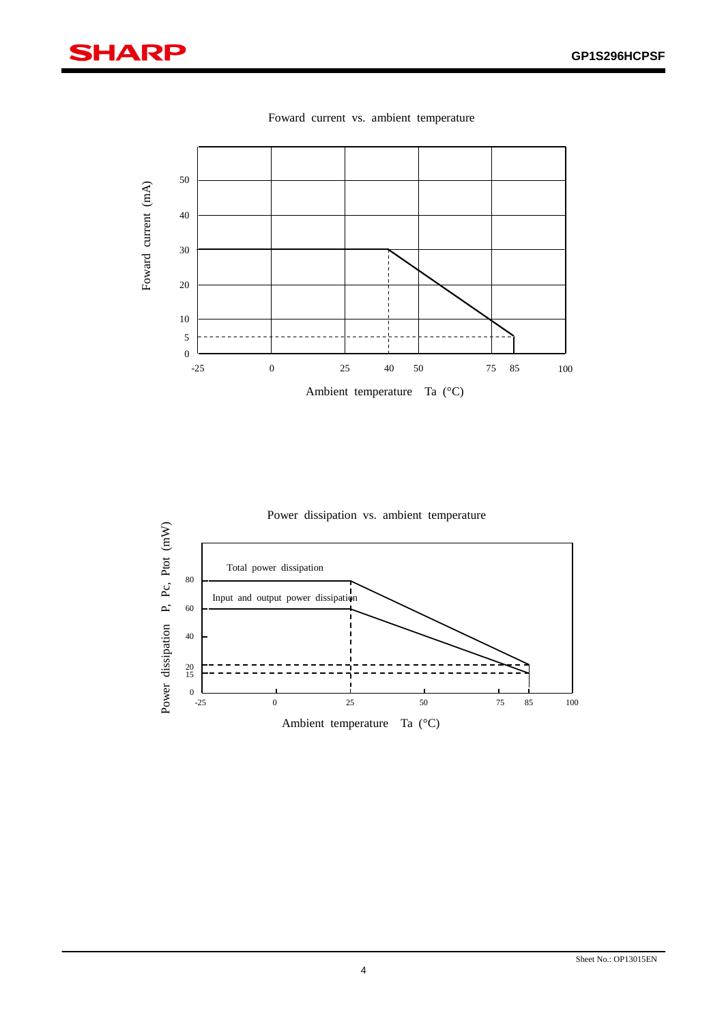## **SHARP**

ī



Foward current vs. ambient temperature

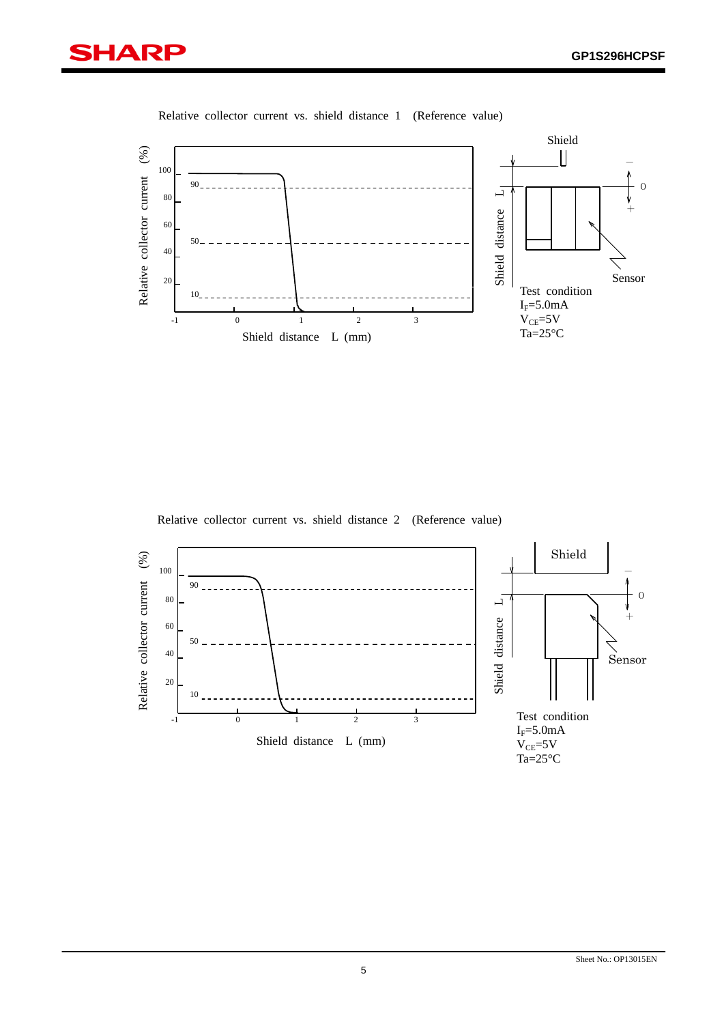



Relative collector current vs. shield distance 1 (Reference value)

Relative collector current vs. shield distance 2 (Reference value)

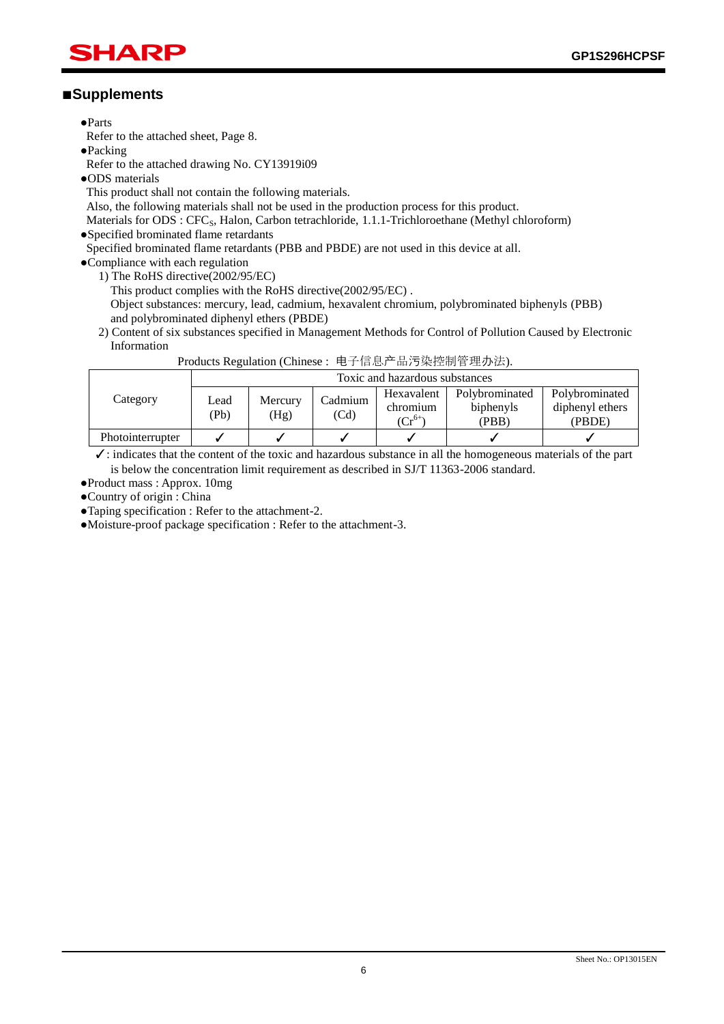**GP1S296HCPSF**

## SHARI

## ■**Supplements**

●Parts

ī

Refer to the attached sheet, Page 8.

●Packing

Refer to the attached drawing No. CY13919i09

- ●ODS materials
- This product shall not contain the following materials.

Also, the following materials shall not be used in the production process for this product.

Materials for ODS : CFC<sub>S</sub>, Halon, Carbon tetrachloride, 1.1.1-Trichloroethane (Methyl chloroform) ●Specified brominated flame retardants

Specified brominated flame retardants (PBB and PBDE) are not used in this device at all.

●Compliance with each regulation

1) The RoHS directive(2002/95/EC)

This product complies with the RoHS directive(2002/95/EC) .

Object substances: mercury, lead, cadmium, hexavalent chromium, polybrominated biphenyls (PBB) and polybrominated diphenyl ethers (PBDE)

2) Content of six substances specified in Management Methods for Control of Pollution Caused by Electronic Information

|                  | Toxic and hazardous substances |                 |                 |                        |                             |                                   |  |
|------------------|--------------------------------|-----------------|-----------------|------------------------|-----------------------------|-----------------------------------|--|
| Category         | Lead<br>(Pb)                   | Mercury<br>(Hg) | Cadmium<br>(Cd) | Hexavalent<br>chromium | Polybrominated<br>biphenyls | Polybrominated<br>diphenyl ethers |  |
|                  |                                |                 |                 | ( $\mathrm{Cr}^{6+}$   | (PBB)                       | (PBDE)                            |  |
| Photointerrupter |                                |                 |                 |                        |                             |                                   |  |

Products Regulation (Chinese : 电子信息产品污染控制管理办法).

 ✓: indicates that the content of the toxic and hazardous substance in all the homogeneous materials of the part is below the concentration limit requirement as described in SJ/T 11363-2006 standard.

●Product mass : Approx. 10mg

●Country of origin : China

●Taping specification : Refer to the attachment-2.

●Moisture-proof package specification : Refer to the attachment-3.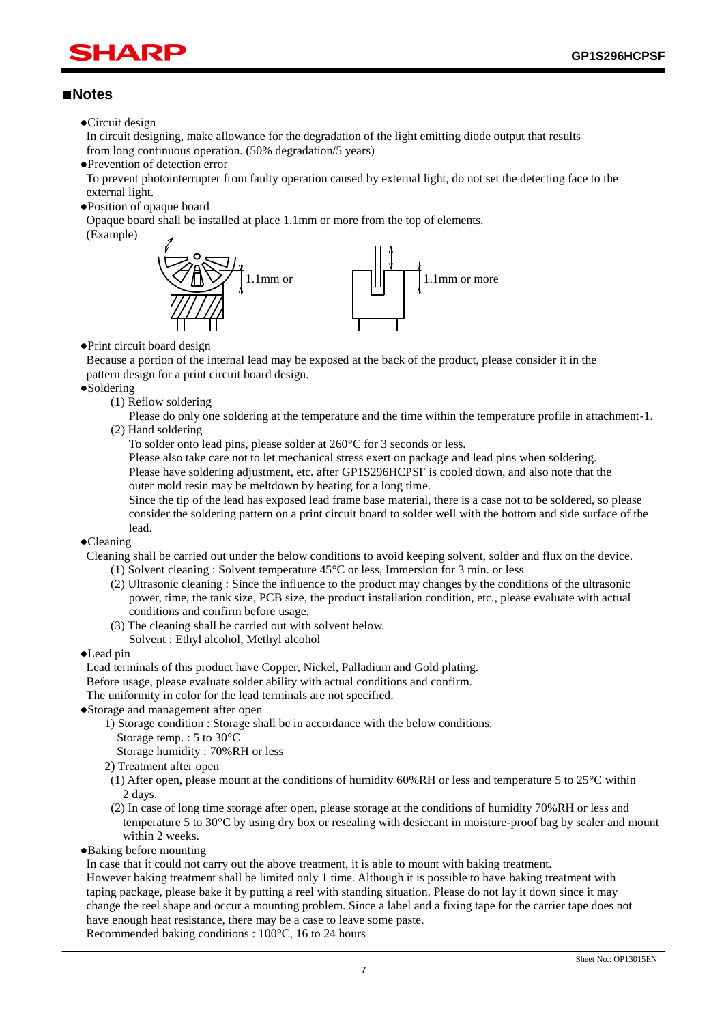## HAR

#### ■**Notes**

ī

●Circuit design

In circuit designing, make allowance for the degradation of the light emitting diode output that results from long continuous operation. (50% degradation/5 years)

●Prevention of detection error

To prevent photointerrupter from faulty operation caused by external light, do not set the detecting face to the external light.

●Position of opaque board

Opaque board shall be installed at place 1.1mm or more from the top of elements.

(Example)



●Print circuit board design

Because a portion of the internal lead may be exposed at the back of the product, please consider it in the pattern design for a print circuit board design.

●Soldering

(1) Reflow soldering

Please do only one soldering at the temperature and the time within the temperature profile in attachment-1. (2) Hand soldering

To solder onto lead pins, please solder at 260°C for 3 seconds or less.

Please also take care not to let mechanical stress exert on package and lead pins when soldering. Please have soldering adjustment, etc. after GP1S296HCPSF is cooled down, and also note that the outer mold resin may be meltdown by heating for a long time.

Since the tip of the lead has exposed lead frame base material, there is a case not to be soldered, so please consider the soldering pattern on a print circuit board to solder well with the bottom and side surface of the lead.

●Cleaning

Cleaning shall be carried out under the below conditions to avoid keeping solvent, solder and flux on the device.

- (1) Solvent cleaning : Solvent temperature 45°C or less, Immersion for 3 min. or less
- (2) Ultrasonic cleaning : Since the influence to the product may changes by the conditions of the ultrasonic power, time, the tank size, PCB size, the product installation condition, etc., please evaluate with actual conditions and confirm before usage.
- (3) The cleaning shall be carried out with solvent below.
- Solvent : Ethyl alcohol, Methyl alcohol

#### ●Lead pin

Lead terminals of this product have Copper, Nickel, Palladium and Gold plating.

Before usage, please evaluate solder ability with actual conditions and confirm.

The uniformity in color for the lead terminals are not specified.

- ●Storage and management after open
	- 1) Storage condition : Storage shall be in accordance with the below conditions.
	- Storage temp. : 5 to 30°C

Storage humidity : 70%RH or less

2) Treatment after open

- (1) After open, please mount at the conditions of humidity 60%RH or less and temperature 5 to 25°C within 2 days.
- (2) In case of long time storage after open, please storage at the conditions of humidity 70%RH or less and temperature 5 to 30°C by using dry box or resealing with desiccant in moisture-proof bag by sealer and mount within 2 weeks.
- ●Baking before mounting

In case that it could not carry out the above treatment, it is able to mount with baking treatment.

However baking treatment shall be limited only 1 time. Although it is possible to have baking treatment with taping package, please bake it by putting a reel with standing situation. Please do not lay it down since it may change the reel shape and occur a mounting problem. Since a label and a fixing tape for the carrier tape does not have enough heat resistance, there may be a case to leave some paste.

Recommended baking conditions : 100°C, 16 to 24 hours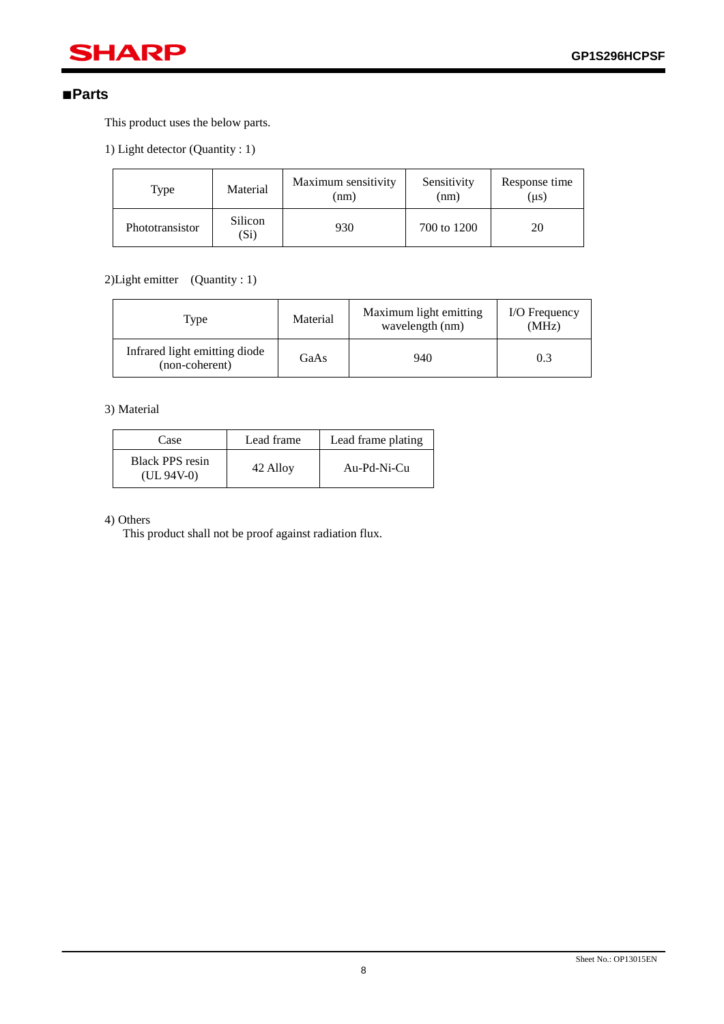## **SHARP**

### ■**Parts**

ī

This product uses the below parts.

1) Light detector (Quantity : 1)

| Type            | Material        | Maximum sensitivity<br>(nm) | Sensitivity<br>(nm) | Response time<br>(µs) |
|-----------------|-----------------|-----------------------------|---------------------|-----------------------|
| Phototransistor | Silicon<br>(Si) | 930                         | 700 to 1200         | 20                    |

## 2) Light emitter (Quantity : 1)

| Type                                            | Material | Maximum light emitting<br>wavelength (nm) | I/O Frequency<br>(MHz) |
|-------------------------------------------------|----------|-------------------------------------------|------------------------|
| Infrared light emitting diode<br>(non-coherent) | GaAs     | 940                                       | 0.3                    |

#### 3) Material

| Case                                   | Lead frame | Lead frame plating |
|----------------------------------------|------------|--------------------|
| <b>Black PPS</b> resin<br>$(UL 94V-0)$ | 42 Alloy   | Au-Pd-Ni-Cu        |

#### 4) Others

This product shall not be proof against radiation flux.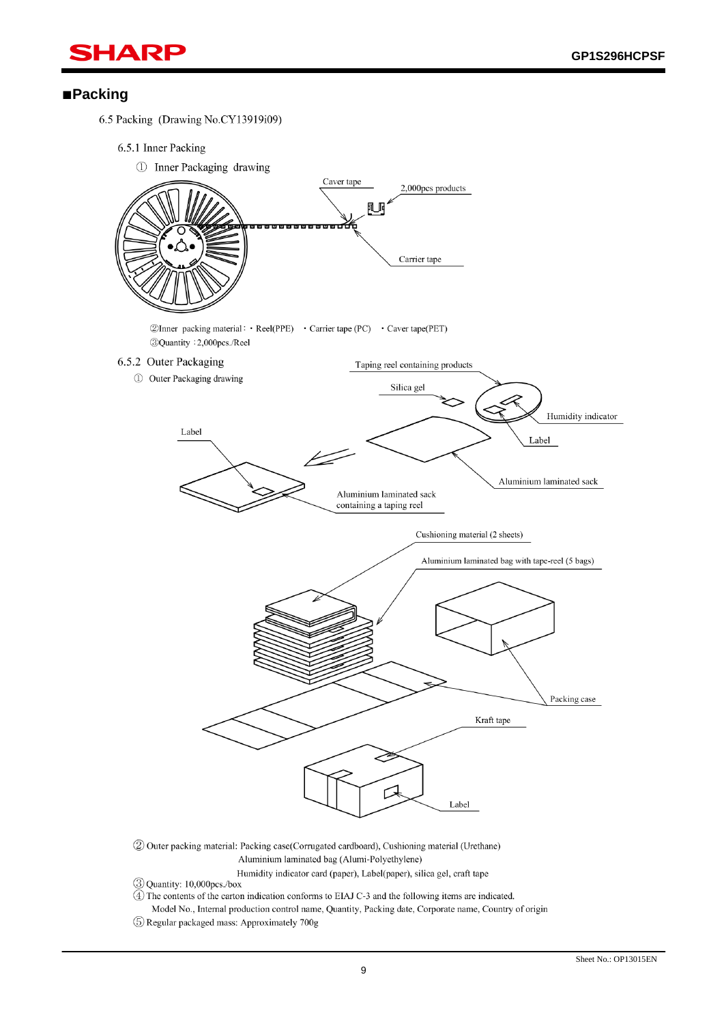

### ■**Packing**

6.5 Packing (Drawing No.CY13919i09)

6.5.1 Inner Packing



2 Outer packing material: Packing case(Corrugated cardboard), Cushioning material (Urethane) Aluminium laminated bag (Alumi-Polyethylene)

Humidity indicator card (paper), Label(paper), silica gel, craft tape

3 Quantity: 10,000pcs./box

- 4) The contents of the carton indication conforms to EIAJ C-3 and the following items are indicated.
- Model No., Internal production control name, Quantity, Packing date, Corporate name, Country of origin
- 5 Regular packaged mass: Approximately 700g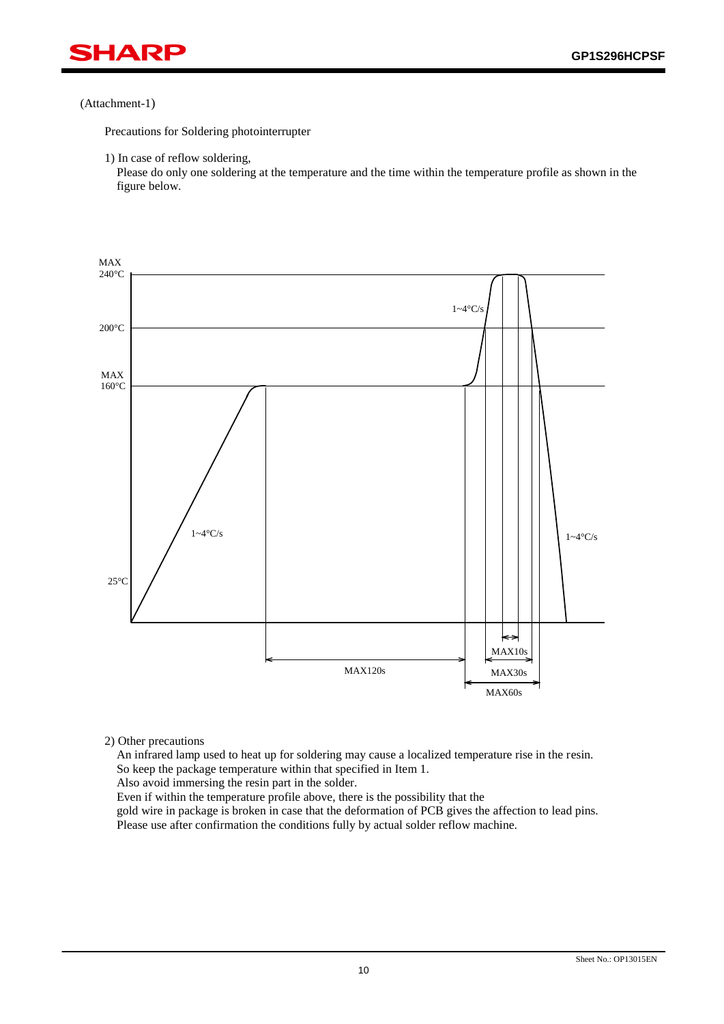

#### (Attachment-1)

Precautions for Soldering photointerrupter

1) In case of reflow soldering,

Please do only one soldering at the temperature and the time within the temperature profile as shown in the figure below.



2) Other precautions

An infrared lamp used to heat up for soldering may cause a localized temperature rise in the resin. So keep the package temperature within that specified in Item 1.

Also avoid immersing the resin part in the solder.

Even if within the temperature profile above, there is the possibility that the

gold wire in package is broken in case that the deformation of PCB gives the affection to lead pins. Please use after confirmation the conditions fully by actual solder reflow machine.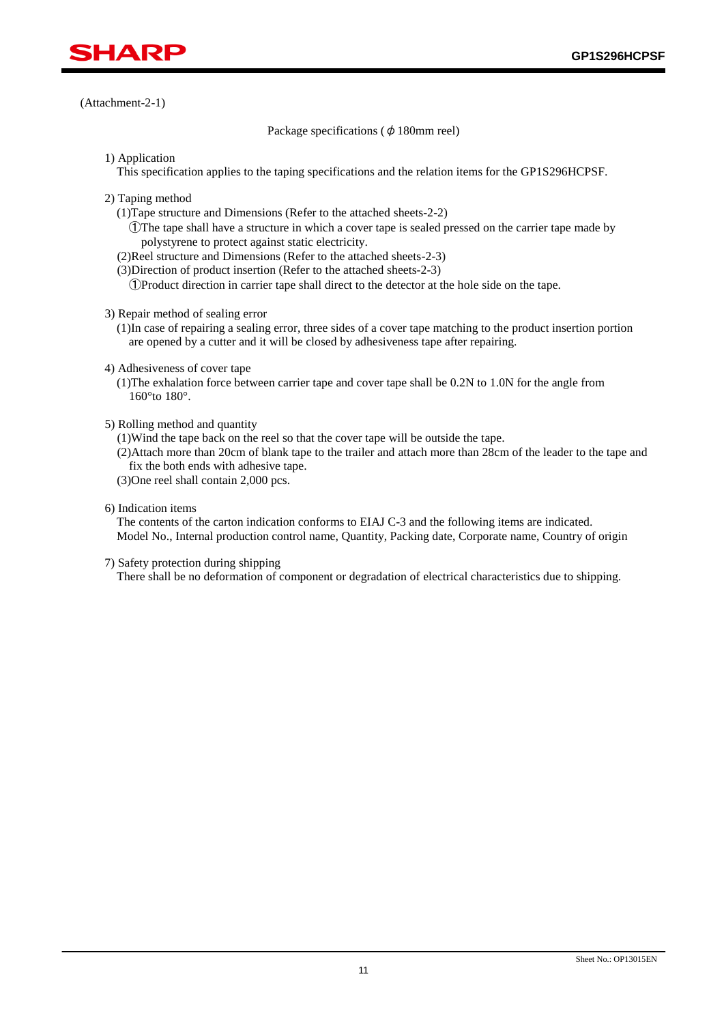

(Attachment-2-1)

Package specifications ( $\phi$  180mm reel)

1) Application

This specification applies to the taping specifications and the relation items for the GP1S296HCPSF.

- 2) Taping method
	- (1)Tape structure and Dimensions (Refer to the attached sheets-2-2)

①The tape shall have a structure in which a cover tape is sealed pressed on the carrier tape made by polystyrene to protect against static electricity.

- (2)Reel structure and Dimensions (Refer to the attached sheets-2-3)
- (3)Direction of product insertion (Refer to the attached sheets-2-3)

①Product direction in carrier tape shall direct to the detector at the hole side on the tape.

3) Repair method of sealing error

(1)In case of repairing a sealing error, three sides of a cover tape matching to the product insertion portion are opened by a cutter and it will be closed by adhesiveness tape after repairing.

- 4) Adhesiveness of cover tape
	- (1)The exhalation force between carrier tape and cover tape shall be 0.2N to 1.0N for the angle from 160°to 180°.
- 5) Rolling method and quantity

(1)Wind the tape back on the reel so that the cover tape will be outside the tape.

(2)Attach more than 20cm of blank tape to the trailer and attach more than 28cm of the leader to the tape and fix the both ends with adhesive tape.

- (3)One reel shall contain 2,000 pcs.
- 6) Indication items

The contents of the carton indication conforms to EIAJ C-3 and the following items are indicated. Model No., Internal production control name, Quantity, Packing date, Corporate name, Country of origin

7) Safety protection during shipping

There shall be no deformation of component or degradation of electrical characteristics due to shipping.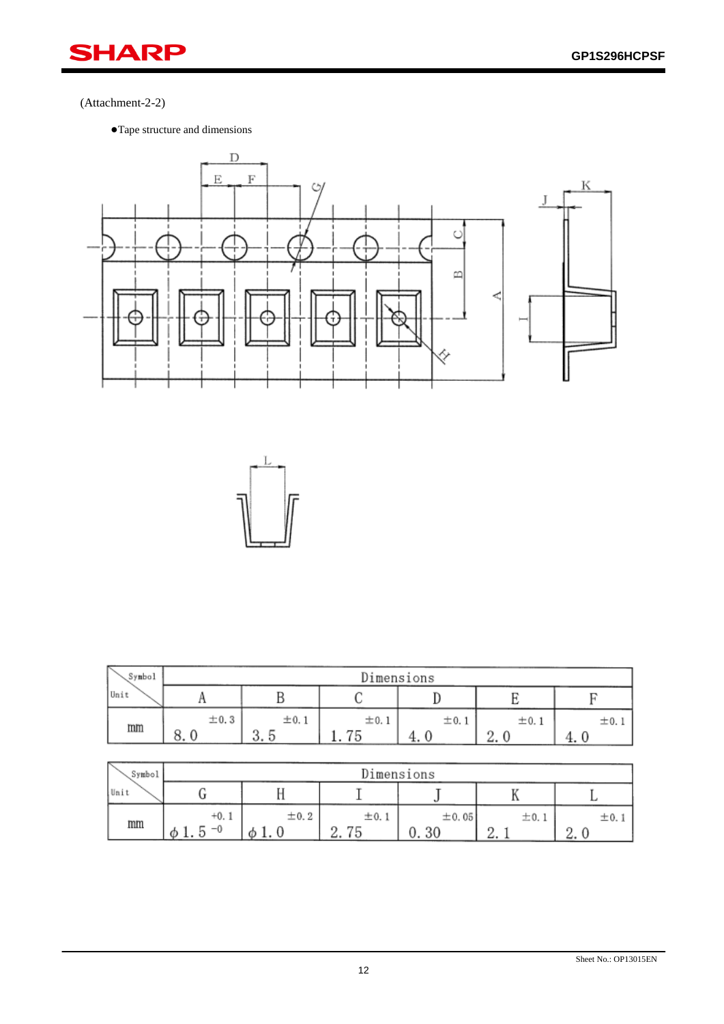

## (Attachment-2-2)

●Tape structure and dimensions





| Symbol | Dimensions     |                  |           |           |               |          |
|--------|----------------|------------------|-----------|-----------|---------------|----------|
| Unit   | $\blacksquare$ |                  |           |           |               |          |
| mm     | $\pm 0.3$      | $\pm 0.1$        | $\pm 0.1$ | $\pm 0.1$ | $\pm 0.1$     | $\pm 0.$ |
|        | O<br>о.        | $\sigma$<br>ა. ხ |           | x.        | $\Omega$<br>~ |          |

| Symbol | Dimensions          |                |                  |                         |                             |                       |  |
|--------|---------------------|----------------|------------------|-------------------------|-----------------------------|-----------------------|--|
| Unit   |                     |                |                  |                         | **                          |                       |  |
| mm     | $+0.1$<br>$-0$<br>⊕ | $\pm$ 0.2<br>Ø | ±0.1<br>⊷<br>، ت | ± 0.05<br>20<br>v<br>υv | ±0.<br>$\Omega$<br><u>.</u> | 士0.<br>$\Omega$<br>٠. |  |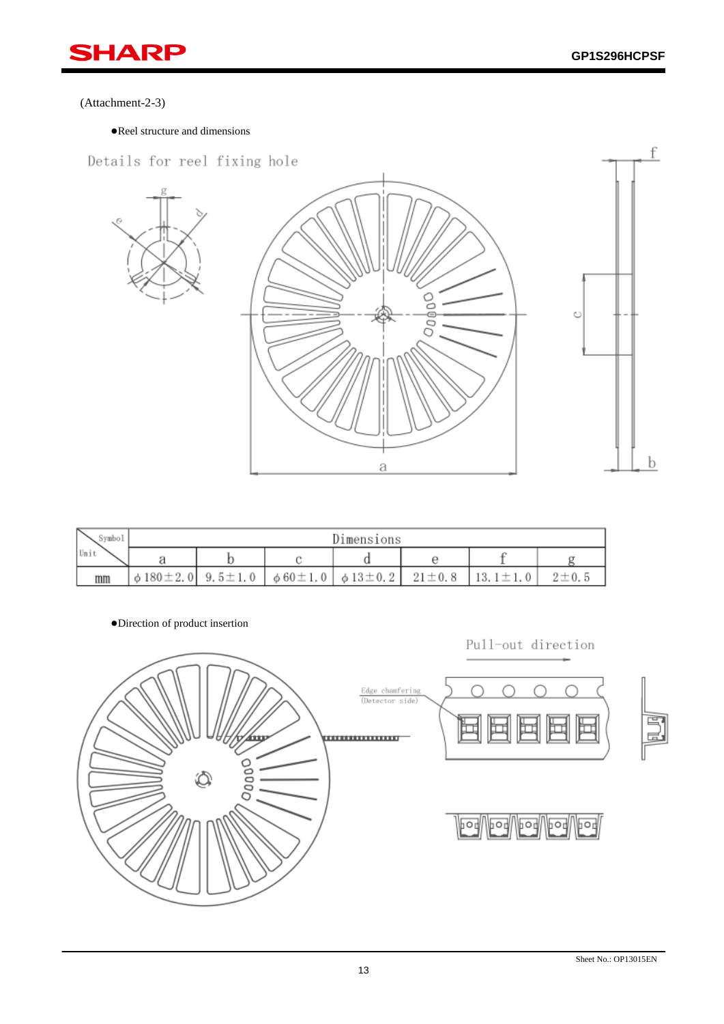

#### (Attachment-2-3)

●Reel structure and dimensions



| `ymbol | Dimensions           |               |                                         |  |              |              |             |  |
|--------|----------------------|---------------|-----------------------------------------|--|--------------|--------------|-------------|--|
| Unit   |                      |               |                                         |  |              |              |             |  |
| mm     | $\phi$ 180 $\pm$ 2.0 | $9.5 \pm 1.0$ | $\phi$ 60 $\pm$ 1.0 $\phi$ 13 $\pm$ 0.2 |  | $21 \pm 0.8$ | 13.1 $\pm$ 1 | $2 \pm 0.5$ |  |

●Direction of product insertion

Pull-out direction

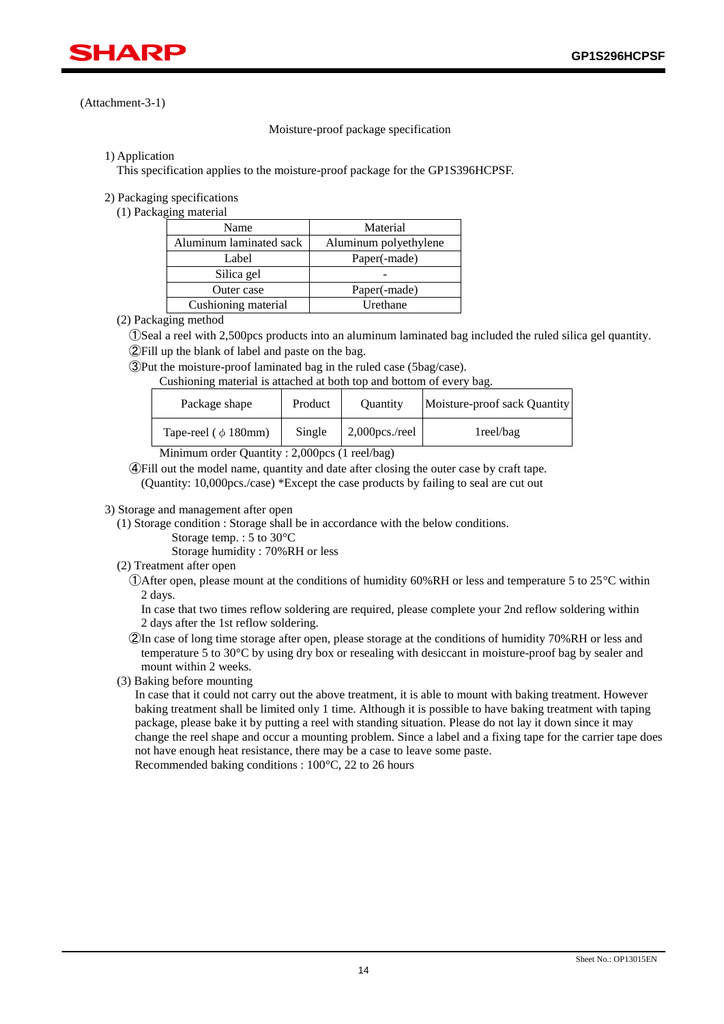

#### (Attachment-3-1)

#### Moisture-proof package specification

#### 1) Application

This specification applies to the moisture-proof package for the GP1S396HCPSF.

#### 2) Packaging specifications

(1) Packaging material

| Name                    | Material              |
|-------------------------|-----------------------|
| Aluminum laminated sack | Aluminum polyethylene |
| Label                   | Paper(-made)          |
| Silica gel              |                       |
| Outer case              | Paper(-made)          |
| Cushioning material     | Urethane              |

#### (2) Packaging method

 ①Seal a reel with 2,500pcs products into an aluminum laminated bag included the ruled silica gel quantity. ②Fill up the blank of label and paste on the bag.

③Put the moisture-proof laminated bag in the ruled case (5bag/case).

Cushioning material is attached at both top and bottom of every bag.

| Package shape                      | Product | <b>Ouantity</b>   | Moisture-proof sack Quantity |  |  |  |  |
|------------------------------------|---------|-------------------|------------------------------|--|--|--|--|
| Tape-reel ( $\phi$ 180mm)          | Single  | $2,000$ pcs./reel | lreel/bag                    |  |  |  |  |
| $\sim$ $\sim$ $\sim$ $\sim$ $\sim$ |         |                   |                              |  |  |  |  |

Minimum order Quantity : 2,000pcs (1 reel/bag)

 ④Fill out the model name, quantity and date after closing the outer case by craft tape. (Quantity: 10,000pcs./case) \*Except the case products by failing to seal are cut out

#### 3) Storage and management after open

- (1) Storage condition : Storage shall be in accordance with the below conditions.
	- Storage temp. : 5 to 30°C

Storage humidity : 70%RH or less

- (2) Treatment after open
	- (T) Order open, please mount at the conditions of humidity 60% RH or less and temperature 5 to 25 $\degree$ C within 2 days.

In case that two times reflow soldering are required, please complete your 2nd reflow soldering within 2 days after the 1st reflow soldering.

- ②In case of long time storage after open, please storage at the conditions of humidity 70%RH or less and temperature 5 to 30°C by using dry box or resealing with desiccant in moisture-proof bag by sealer and mount within 2 weeks.
- (3) Baking before mounting

In case that it could not carry out the above treatment, it is able to mount with baking treatment. However baking treatment shall be limited only 1 time. Although it is possible to have baking treatment with taping package, please bake it by putting a reel with standing situation. Please do not lay it down since it may change the reel shape and occur a mounting problem. Since a label and a fixing tape for the carrier tape does not have enough heat resistance, there may be a case to leave some paste. Recommended baking conditions : 100°C, 22 to 26 hours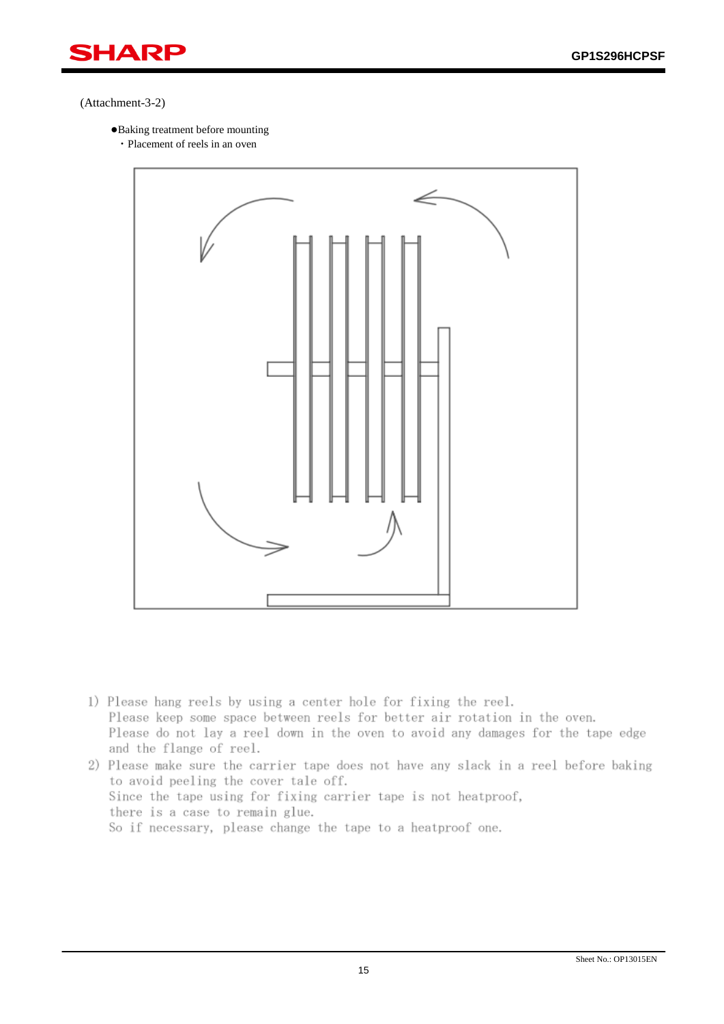

#### (Attachment-3-2)

- ●Baking treatment before mounting
	- ・Placement of reels in an oven



- 1) Please hang reels by using a center hole for fixing the reel. Please keep some space between reels for better air rotation in the oven. Please do not lay a reel down in the oven to avoid any damages for the tape edge and the flange of reel.
- 2) Please make sure the carrier tape does not have any slack in a reel before baking to avoid peeling the cover tale off. Since the tape using for fixing carrier tape is not heatproof, there is a case to remain glue. So if necessary, please change the tape to a heatproof one.